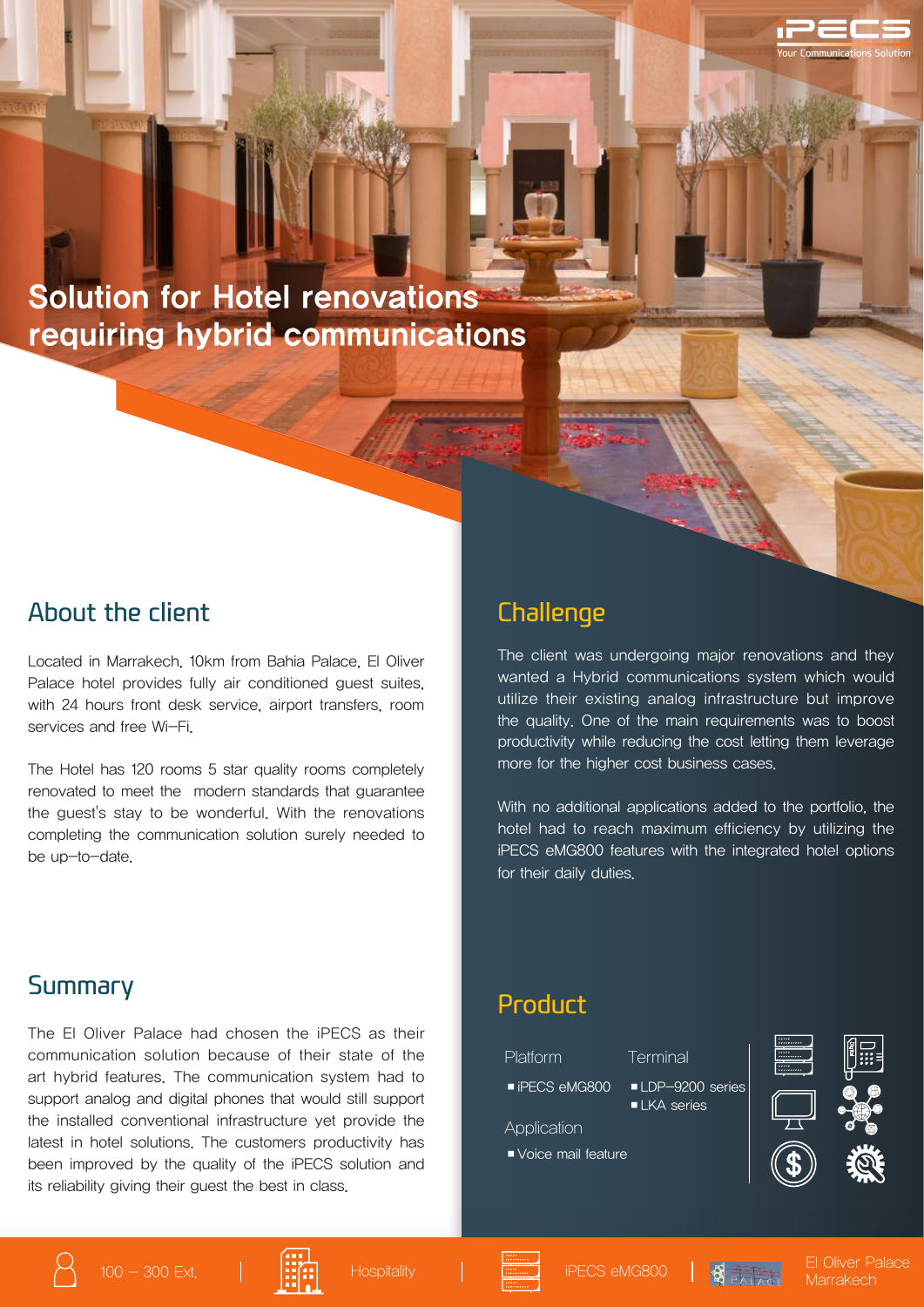Solution for Hotel renovations requiring hybrid communications

### About the client

Located in Marrakech, 10km from Bahia Palace, El Oliver Palace hotel provides fully air conditioned guest suites, with 24 hours front desk service, airport transfers, room services and free Wi-Fi.

The Hotel has 120 rooms 5 star quality rooms completely renovated to meet the modern standards that guarantee the guest's stay to be wonderful. With the renovations completing the communication solution surely needed to be up-to-date.

# **Challenge**

The client was undergoing major renovations and they wanted a Hybrid communications system which would utilize their existing analog infrastructure but improve the quality. One of the main requirements was to boost productivity while reducing the cost letting them leverage more for the higher cost business cases.

With no additional applications added to the portfolio, the hotel had to reach maximum efficiency by utilizing the iPECS eMG800 features with the integrated hotel options for their daily duties.

#### Summary

The El Oliver Palace had chosen the iPECS as their communication solution because of their state of the art hybrid features. The communication system had to support analog and digital phones that would still support the installed conventional infrastructure yet provide the latest in hotel solutions. The customers productivity has been improved by the quality of the iPECS solution and its reliability giving their guest the best in class.

### Product

- Platform Terminal
	-
	-
- iPECS eMG800 LDP-9200 series ■LKA series
- Application
- Voice mail feature
- 







100 - 300 Ext.  $\begin{vmatrix} \cdot & \cdot & \cdot \\ \cdot & \cdot & \cdot \\ \cdot & \cdot & \cdot \end{vmatrix}$  Hospitality  $\begin{vmatrix} \cdot & \cdot & \cdot \\ \cdot & \cdot & \cdot \\ \cdot & \cdot & \cdot \end{vmatrix}$  iPECS eMG800  $\begin{vmatrix} \cdot & \cdot & \cdot \\ \cdot & \cdot & \cdot \\ \cdot & \cdot & \cdot \end{vmatrix}$  El Oliver Palace **Marrakech**